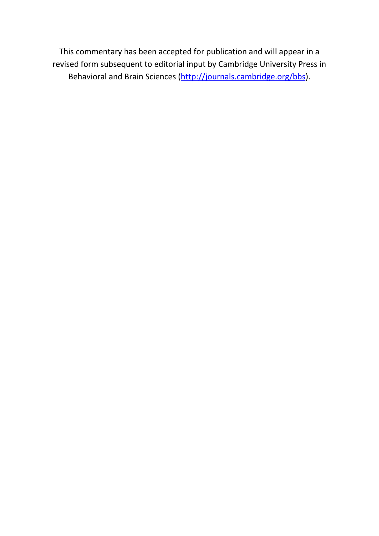This commentary has been accepted for publication and will appear in a revised form subsequent to editorial input by Cambridge University Press in Behavioral and Brain Sciences [\(http://journals.cambridge.org/bbs\)](http://journals.cambridge.org/bbs).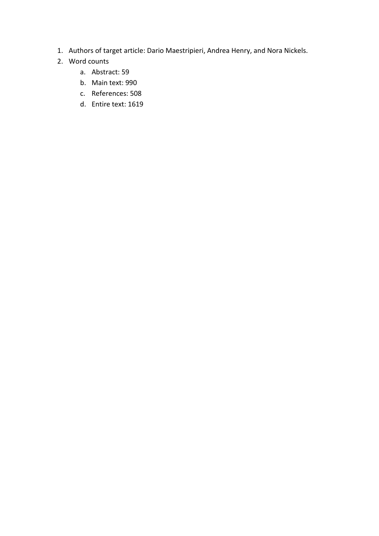- 1. Authors of target article: Dario Maestripieri, Andrea Henry, and Nora Nickels.
- 2. Word counts
	- a. Abstract: 59
	- b. Main text: 990
	- c. References: 508
	- d. Entire text: 1619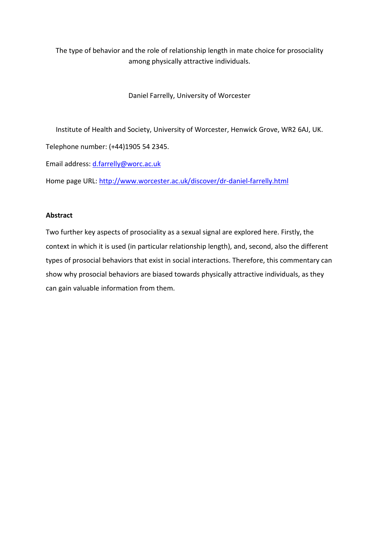The type of behavior and the role of relationship length in mate choice for prosociality among physically attractive individuals.

Daniel Farrelly, University of Worcester

Institute of Health and Society, University of Worcester, Henwick Grove, WR2 6AJ, UK.

Telephone number: (+44)1905 54 2345.

Email address: [d.farrelly@worc.ac.uk](mailto:d.farrelly@worc.ac.uk)

Home page URL:<http://www.worcester.ac.uk/discover/dr-daniel-farrelly.html>

## **Abstract**

Two further key aspects of prosociality as a sexual signal are explored here. Firstly, the context in which it is used (in particular relationship length), and, second, also the different types of prosocial behaviors that exist in social interactions. Therefore, this commentary can show why prosocial behaviors are biased towards physically attractive individuals, as they can gain valuable information from them.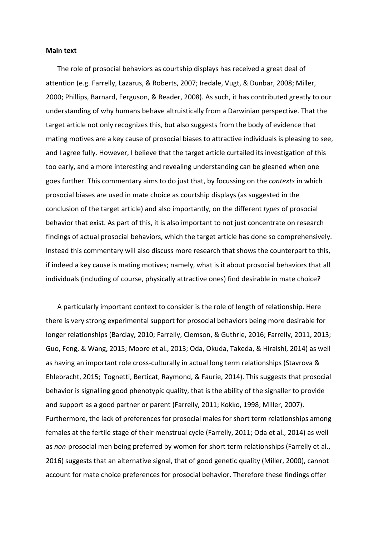## **Main text**

The role of prosocial behaviors as courtship displays has received a great deal of attention (e.g. Farrelly, Lazarus, & Roberts, 2007; Iredale, Vugt, & Dunbar, 2008; Miller, 2000; Phillips, Barnard, Ferguson, & Reader, 2008). As such, it has contributed greatly to our understanding of why humans behave altruistically from a Darwinian perspective. That the target article not only recognizes this, but also suggests from the body of evidence that mating motives are a key cause of prosocial biases to attractive individuals is pleasing to see, and I agree fully. However, I believe that the target article curtailed its investigation of this too early, and a more interesting and revealing understanding can be gleaned when one goes further. This commentary aims to do just that, by focussing on the *contexts* in which prosocial biases are used in mate choice as courtship displays (as suggested in the conclusion of the target article) and also importantly, on the different *types* of prosocial behavior that exist. As part of this, it is also important to not just concentrate on research findings of actual prosocial behaviors, which the target article has done so comprehensively. Instead this commentary will also discuss more research that shows the counterpart to this, if indeed a key cause is mating motives; namely, what is it about prosocial behaviors that all individuals (including of course, physically attractive ones) find desirable in mate choice?

A particularly important context to consider is the role of length of relationship. Here there is very strong experimental support for prosocial behaviors being more desirable for longer relationships (Barclay, 2010; Farrelly, Clemson, & Guthrie, 2016; Farrelly, 2011, 2013; Guo, Feng, & Wang, 2015; Moore et al., 2013; Oda, Okuda, Takeda, & Hiraishi, 2014) as well as having an important role cross-culturally in actual long term relationships (Stavrova & Ehlebracht, 2015; Tognetti, Berticat, Raymond, & Faurie, 2014). This suggests that prosocial behavior is signalling good phenotypic quality, that is the ability of the signaller to provide and support as a good partner or parent (Farrelly, 2011; Kokko, 1998; Miller, 2007). Furthermore, the lack of preferences for prosocial males for short term relationships among females at the fertile stage of their menstrual cycle (Farrelly, 2011; Oda et al., 2014) as well as *non-*prosocial men being preferred by women for short term relationships (Farrelly et al., 2016) suggests that an alternative signal, that of good genetic quality (Miller, 2000), cannot account for mate choice preferences for prosocial behavior. Therefore these findings offer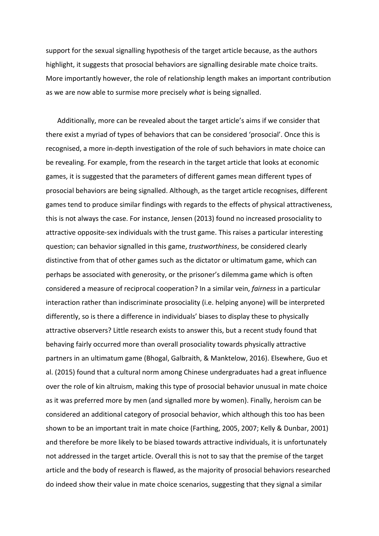support for the sexual signalling hypothesis of the target article because, as the authors highlight, it suggests that prosocial behaviors are signalling desirable mate choice traits. More importantly however, the role of relationship length makes an important contribution as we are now able to surmise more precisely *what* is being signalled.

Additionally, more can be revealed about the target article's aims if we consider that there exist a myriad of types of behaviors that can be considered 'prosocial'. Once this is recognised, a more in-depth investigation of the role of such behaviors in mate choice can be revealing. For example, from the research in the target article that looks at economic games, it is suggested that the parameters of different games mean different types of prosocial behaviors are being signalled. Although, as the target article recognises, different games tend to produce similar findings with regards to the effects of physical attractiveness, this is not always the case. For instance, Jensen (2013) found no increased prosociality to attractive opposite-sex individuals with the trust game. This raises a particular interesting question; can behavior signalled in this game, *trustworthiness*, be considered clearly distinctive from that of other games such as the dictator or ultimatum game, which can perhaps be associated with generosity, or the prisoner's dilemma game which is often considered a measure of reciprocal cooperation? In a similar vein, *fairness* in a particular interaction rather than indiscriminate prosociality (i.e. helping anyone) will be interpreted differently, so is there a difference in individuals' biases to display these to physically attractive observers? Little research exists to answer this, but a recent study found that behaving fairly occurred more than overall prosociality towards physically attractive partners in an ultimatum game (Bhogal, Galbraith, & Manktelow, 2016). Elsewhere, Guo et al. (2015) found that a cultural norm among Chinese undergraduates had a great influence over the role of kin altruism, making this type of prosocial behavior unusual in mate choice as it was preferred more by men (and signalled more by women). Finally, heroism can be considered an additional category of prosocial behavior, which although this too has been shown to be an important trait in mate choice (Farthing, 2005, 2007; Kelly & Dunbar, 2001) and therefore be more likely to be biased towards attractive individuals, it is unfortunately not addressed in the target article. Overall this is not to say that the premise of the target article and the body of research is flawed, as the majority of prosocial behaviors researched do indeed show their value in mate choice scenarios, suggesting that they signal a similar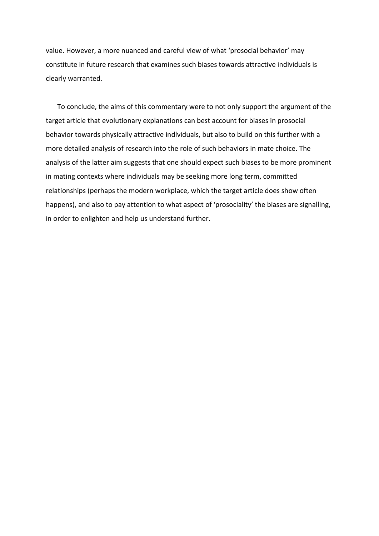value. However, a more nuanced and careful view of what 'prosocial behavior' may constitute in future research that examines such biases towards attractive individuals is clearly warranted.

To conclude, the aims of this commentary were to not only support the argument of the target article that evolutionary explanations can best account for biases in prosocial behavior towards physically attractive indlviduals, but also to build on this further with a more detailed analysis of research into the role of such behaviors in mate choice. The analysis of the latter aim suggests that one should expect such biases to be more prominent in mating contexts where individuals may be seeking more long term, committed relationships (perhaps the modern workplace, which the target article does show often happens), and also to pay attention to what aspect of 'prosociality' the biases are signalling, in order to enlighten and help us understand further.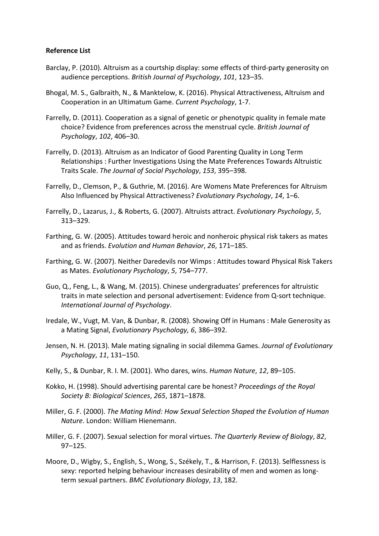## **Reference List**

- Barclay, P. (2010). Altruism as a courtship display: some effects of third-party generosity on audience perceptions. *British Journal of Psychology*, *101*, 123–35.
- Bhogal, M. S., Galbraith, N., & Manktelow, K. (2016). Physical Attractiveness, Altruism and Cooperation in an Ultimatum Game. *Current Psychology*, 1-7.
- Farrelly, D. (2011). Cooperation as a signal of genetic or phenotypic quality in female mate choice? Evidence from preferences across the menstrual cycle. *British Journal of Psychology*, *102*, 406–30.
- Farrelly, D. (2013). Altruism as an Indicator of Good Parenting Quality in Long Term Relationships : Further Investigations Using the Mate Preferences Towards Altruistic Traits Scale. *The Journal of Social Psychology*, *153*, 395–398.
- Farrelly, D., Clemson, P., & Guthrie, M. (2016). Are Womens Mate Preferences for Altruism Also Influenced by Physical Attractiveness? *Evolutionary Psychology*, *14*, 1–6.
- Farrelly, D., Lazarus, J., & Roberts, G. (2007). Altruists attract. *Evolutionary Psychology*, *5*, 313–329.
- Farthing, G. W. (2005). Attitudes toward heroic and nonheroic physical risk takers as mates and as friends. *Evolution and Human Behavior*, *26*, 171–185.
- Farthing, G. W. (2007). Neither Daredevils nor Wimps : Attitudes toward Physical Risk Takers as Mates. *Evolutionary Psychology*, *5*, 754–777.
- Guo, Q., Feng, L., & Wang, M. (2015). Chinese undergraduates' preferences for altruistic traits in mate selection and personal advertisement: Evidence from Q-sort technique. *International Journal of Psychology*.
- Iredale, W., Vugt, M. Van, & Dunbar, R. (2008). Showing Off in Humans : Male Generosity as a Mating Signal, *Evolutionary Psychology, 6*, 386–392.
- Jensen, N. H. (2013). Male mating signaling in social dilemma Games. *Journal of Evolutionary Psychology*, *11*, 131–150.
- Kelly, S., & Dunbar, R. I. M. (2001). Who dares, wins. *Human Nature*, *12*, 89–105.
- Kokko, H. (1998). Should advertising parental care be honest? *Proceedings of the Royal Society B: Biological Sciences*, *265*, 1871–1878.
- Miller, G. F. (2000). *The Mating Mind: How Sexual Selection Shaped the Evolution of Human Nature*. London: William Hienemann.
- Miller, G. F. (2007). Sexual selection for moral virtues. *The Quarterly Review of Biology*, *82*, 97–125.
- Moore, D., Wigby, S., English, S., Wong, S., Székely, T., & Harrison, F. (2013). Selflessness is sexy: reported helping behaviour increases desirability of men and women as longterm sexual partners. *BMC Evolutionary Biology*, *13*, 182.